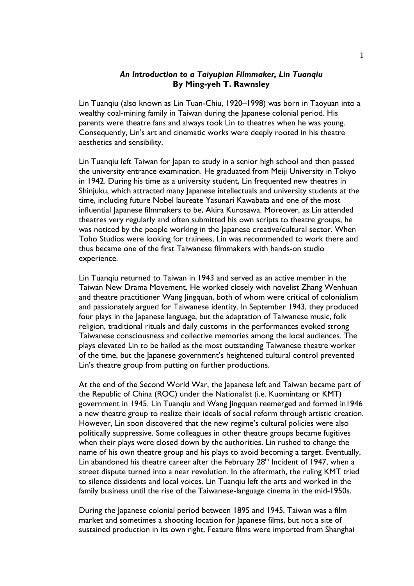## *An Introduction to a Taiyupian Filmmaker, Lin Tuanqiu* **By Ming-yeh T. Rawnsley**

Lin Tuanqiu (also known as Lin Tuan-Chiu, 1920–1998) was born in Taoyuan into a wealthy coal-mining family in Taiwan during the Japanese colonial period. His parents were theatre fans and always took Lin to theatres when he was young. Consequently, Lin's art and cinematic works were deeply rooted in his theatre aesthetics and sensibility.

Lin Tuanqiu left Taiwan for Japan to study in a senior high school and then passed the university entrance examination. He graduated from Meiji University in Tokyo in 1942. During his time as a university student, Lin frequented new theatres in Shinjuku, which attracted many Japanese intellectuals and university students at the time, including future Nobel laureate Yasunari Kawabata and one of the most influential Japanese filmmakers to be, Akira Kurosawa. Moreover, as Lin attended theatres very regularly and often submitted his own scripts to theatre groups, he was noticed by the people working in the Japanese creative/cultural sector. When Toho Studios were looking for trainees, Lin was recommended to work there and thus became one of the first Taiwanese filmmakers with hands-on studio experience.

Lin Tuanqiu returned to Taiwan in 1943 and served as an active member in the Taiwan New Drama Movement. He worked closely with novelist Zhang Wenhuan and theatre practitioner Wang Jingquan, both of whom were critical of colonialism and passionately argued for Taiwanese identity. In September 1943, they produced four plays in the Japanese language, but the adaptation of Taiwanese music, folk religion, traditional rituals and daily customs in the performances evoked strong Taiwanese consciousness and collective memories among the local audiences. The plays elevated Lin to be hailed as the most outstanding Taiwanese theatre worker of the time, but the Japanese government's heightened cultural control prevented Lin's theatre group from putting on further productions.

At the end of the Second World War, the Japanese left and Taiwan became part of the Republic of China (ROC) under the Nationalist (i.e. Kuomintang or KMT) government in 1945. Lin Tuanqiu and Wang Jingquan reemerged and formed in1946 a new theatre group to realize their ideals of social reform through artistic creation. However, Lin soon discovered that the new regime's cultural policies were also politically suppressive. Some colleagues in other theatre groups became fugitives when their plays were closed down by the authorities. Lin rushed to change the name of his own theatre group and his plays to avoid becoming a target. Eventually, Lin abandoned his theatre career after the February  $28<sup>th</sup>$  Incident of 1947, when a street dispute turned into a near revolution. In the aftermath, the ruling KMT tried to silence dissidents and local voices. Lin Tuanqiu left the arts and worked in the family business until the rise of the Taiwanese-language cinema in the mid-1950s.

During the Japanese colonial period between 1895 and 1945, Taiwan was a film market and sometimes a shooting location for Japanese films, but not a site of sustained production in its own right. Feature films were imported from Shanghai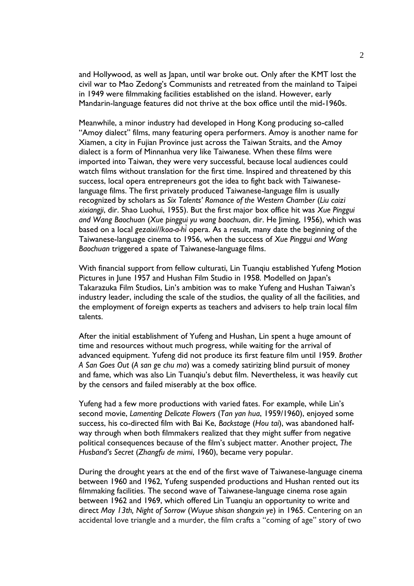and Hollywood, as well as Japan, until war broke out. Only after the KMT lost the civil war to Mao Zedong's Communists and retreated from the mainland to Taipei in 1949 were filmmaking facilities established on the island. However, early Mandarin-language features did not thrive at the box office until the mid-1960s.

Meanwhile, a minor industry had developed in Hong Kong producing so-called "Amoy dialect" films, many featuring opera performers. Amoy is another name for Xiamen, a city in Fujian Province just across the Taiwan Straits, and the Amoy dialect is a form of Minnanhua very like Taiwanese. When these films were imported into Taiwan, they were very successful, because local audiences could watch films without translation for the first time. Inspired and threatened by this success, local opera entrepreneurs got the idea to fight back with Taiwaneselanguage films. The first privately produced Taiwanese-language film is usually recognized by scholars as *Six Talents' Romance of the Western Chamber* (*Liu caizi xixiangji*, dir. Shao Luohui, 1955). But the first major box office hit was *Xue Pinggui and Wang Baochuan* (*Xue pinggui yu wang baochuan*, dir. He Jiming, 1956), which was based on a local *gezaixi//koa-á-hì*opera. As a result, many date the beginning of the Taiwanese-language cinema to 1956, when the success of *Xue Pinggui and Wang Baochuan* triggered a spate of Taiwanese-language films.

With financial support from fellow culturati, Lin Tuanqiu established Yufeng Motion Pictures in June 1957 and Hushan Film Studio in 1958. Modelled on Japan's Takarazuka Film Studios, Lin's ambition was to make Yufeng and Hushan Taiwan's industry leader, including the scale of the studios, the quality of all the facilities, and the employment of foreign experts as teachers and advisers to help train local film talents.

After the initial establishment of Yufeng and Hushan, Lin spent a huge amount of time and resources without much progress, while waiting for the arrival of advanced equipment. Yufeng did not produce its first feature film until 1959. *Brother A San Goes Out* (*A san ge chu ma*) was a comedy satirizing blind pursuit of money and fame, which was also Lin Tuanqiu's debut film. Nevertheless, it was heavily cut by the censors and failed miserably at the box office.

Yufeng had a few more productions with varied fates. For example, while Lin's second movie, *Lamenting Delicate Flowers* (*Tan yan hua*, 1959/1960), enjoyed some success, his co-directed film with Bai Ke, *Backstage* (*Hou tai*), was abandoned halfway through when both filmmakers realized that they might suffer from negative political consequences because of the film's subject matter. Another project, *The Husband's Secret* (*Zhangfu de mimi*, 1960), became very popular.

During the drought years at the end of the first wave of Taiwanese-language cinema between 1960 and 1962, Yufeng suspended productions and Hushan rented out its filmmaking facilities. The second wave of Taiwanese-language cinema rose again between 1962 and 1969, which offered Lin Tuanqiu an opportunity to write and direct *May 13th, Night of Sorrow* (*Wuyue shisan shangxin ye*) in 1965. Centering on an accidental love triangle and a murder, the film crafts a "coming of age" story of two